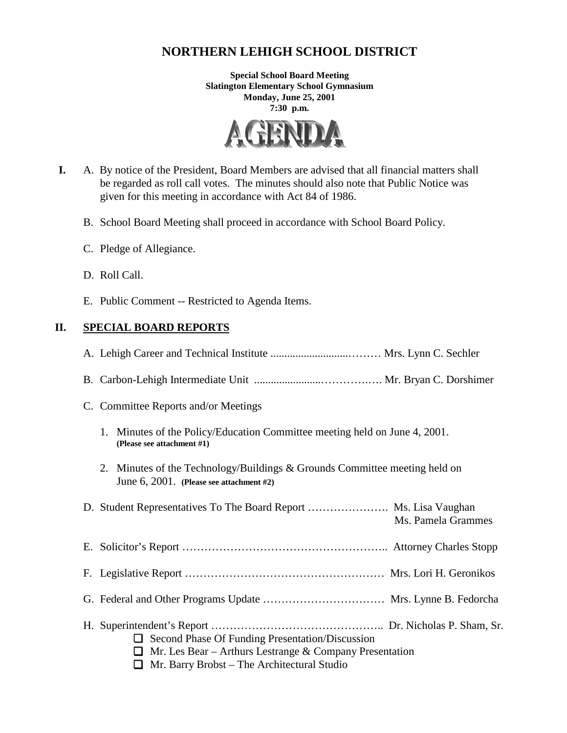# **NORTHERN LEHIGH SCHOOL DISTRICT**

**Special School Board Meeting Slatington Elementary School Gymnasium Monday, June 25, 2001 7:30 p.m.**



- **I.** A. By notice of the President, Board Members are advised that all financial matters shall be regarded as roll call votes. The minutes should also note that Public Notice was given for this meeting in accordance with Act 84 of 1986.
	- B. School Board Meeting shall proceed in accordance with School Board Policy.
	- C. Pledge of Allegiance.
	- D. Roll Call.
	- E. Public Comment -- Restricted to Agenda Items.

# **II. SPECIAL BOARD REPORTS**

| C. Committee Reports and/or Meetings                                                                                                                                         |
|------------------------------------------------------------------------------------------------------------------------------------------------------------------------------|
| 1. Minutes of the Policy/Education Committee meeting held on June 4, 2001.<br>(Please see attachment #1)                                                                     |
| 2. Minutes of the Technology/Buildings & Grounds Committee meeting held on<br>June 6, 2001. (Please see attachment #2)                                                       |
| D. Student Representatives To The Board Report  Ms. Lisa Vaughan<br>Ms. Pamela Grammes                                                                                       |
|                                                                                                                                                                              |
|                                                                                                                                                                              |
|                                                                                                                                                                              |
| $\Box$ Second Phase Of Funding Presentation/Discussion<br>Mr. Les Bear - Arthurs Lestrange & Company Presentation<br>⊔<br>$\Box$ Mr. Barry Brobst – The Architectural Studio |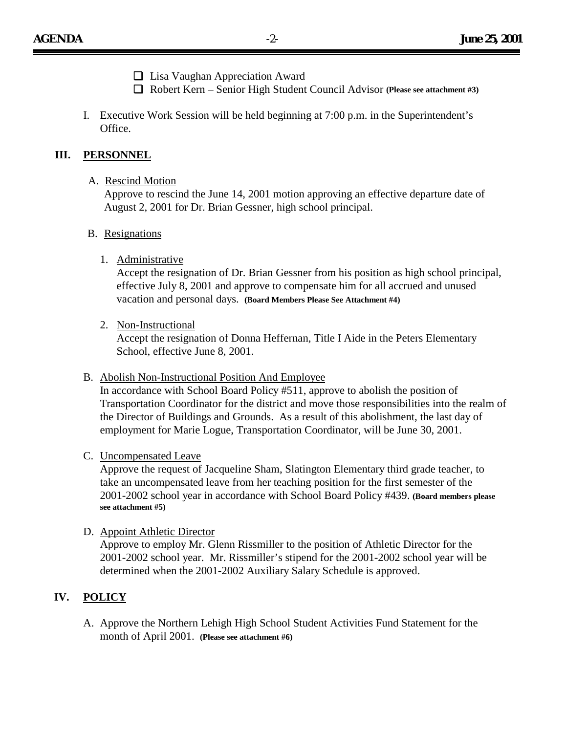- ❏ Lisa Vaughan Appreciation Award
- ❏ Robert Kern Senior High Student Council Advisor **(Please see attachment #3)**
- I. Executive Work Session will be held beginning at 7:00 p.m. in the Superintendent's Office.

### **III. PERSONNEL**

#### A. Rescind Motion

Approve to rescind the June 14, 2001 motion approving an effective departure date of August 2, 2001 for Dr. Brian Gessner, high school principal.

#### B. Resignations

1. Administrative

Accept the resignation of Dr. Brian Gessner from his position as high school principal, effective July 8, 2001 and approve to compensate him for all accrued and unused vacation and personal days. **(Board Members Please See Attachment #4)**

2. Non-Instructional

Accept the resignation of Donna Heffernan, Title I Aide in the Peters Elementary School, effective June 8, 2001.

#### B. Abolish Non-Instructional Position And Employee

In accordance with School Board Policy #511, approve to abolish the position of Transportation Coordinator for the district and move those responsibilities into the realm of the Director of Buildings and Grounds. As a result of this abolishment, the last day of employment for Marie Logue, Transportation Coordinator, will be June 30, 2001.

#### C. Uncompensated Leave

Approve the request of Jacqueline Sham, Slatington Elementary third grade teacher, to take an uncompensated leave from her teaching position for the first semester of the 2001-2002 school year in accordance with School Board Policy #439. **(Board members please see attachment #5)**

D. Appoint Athletic Director

Approve to employ Mr. Glenn Rissmiller to the position of Athletic Director for the 2001-2002 school year. Mr. Rissmiller's stipend for the 2001-2002 school year will be determined when the 2001-2002 Auxiliary Salary Schedule is approved.

# **IV. POLICY**

A. Approve the Northern Lehigh High School Student Activities Fund Statement for the month of April 2001. **(Please see attachment #6)**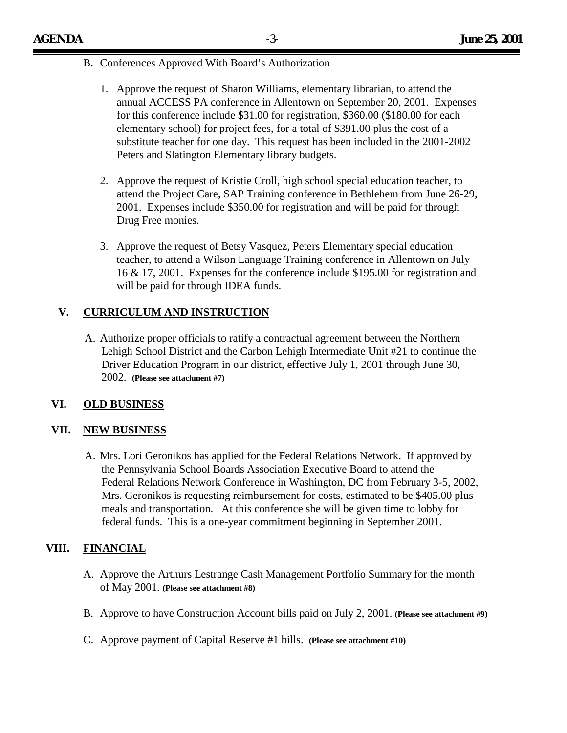### B. Conferences Approved With Board's Authorization

- 1. Approve the request of Sharon Williams, elementary librarian, to attend the annual ACCESS PA conference in Allentown on September 20, 2001. Expenses for this conference include \$31.00 for registration, \$360.00 (\$180.00 for each elementary school) for project fees, for a total of \$391.00 plus the cost of a substitute teacher for one day. This request has been included in the 2001-2002 Peters and Slatington Elementary library budgets.
- 2. Approve the request of Kristie Croll, high school special education teacher, to attend the Project Care, SAP Training conference in Bethlehem from June 26-29, 2001. Expenses include \$350.00 for registration and will be paid for through Drug Free monies.
- 3. Approve the request of Betsy Vasquez, Peters Elementary special education teacher, to attend a Wilson Language Training conference in Allentown on July 16 & 17, 2001. Expenses for the conference include \$195.00 for registration and will be paid for through IDEA funds.

# **V. CURRICULUM AND INSTRUCTION**

A. Authorize proper officials to ratify a contractual agreement between the Northern Lehigh School District and the Carbon Lehigh Intermediate Unit #21 to continue the Driver Education Program in our district, effective July 1, 2001 through June 30, 2002. **(Please see attachment #7)**

## **VI. OLD BUSINESS**

## **VII. NEW BUSINESS**

A. Mrs. Lori Geronikos has applied for the Federal Relations Network. If approved by the Pennsylvania School Boards Association Executive Board to attend the Federal Relations Network Conference in Washington, DC from February 3-5, 2002, Mrs. Geronikos is requesting reimbursement for costs, estimated to be \$405.00 plus meals and transportation. At this conference she will be given time to lobby for federal funds. This is a one-year commitment beginning in September 2001.

# **VIII. FINANCIAL**

- A. Approve the Arthurs Lestrange Cash Management Portfolio Summary for the month of May 2001. **(Please see attachment #8)**
- B. Approve to have Construction Account bills paid on July 2, 2001. **(Please see attachment #9)**
- C. Approve payment of Capital Reserve #1 bills. **(Please see attachment #10)**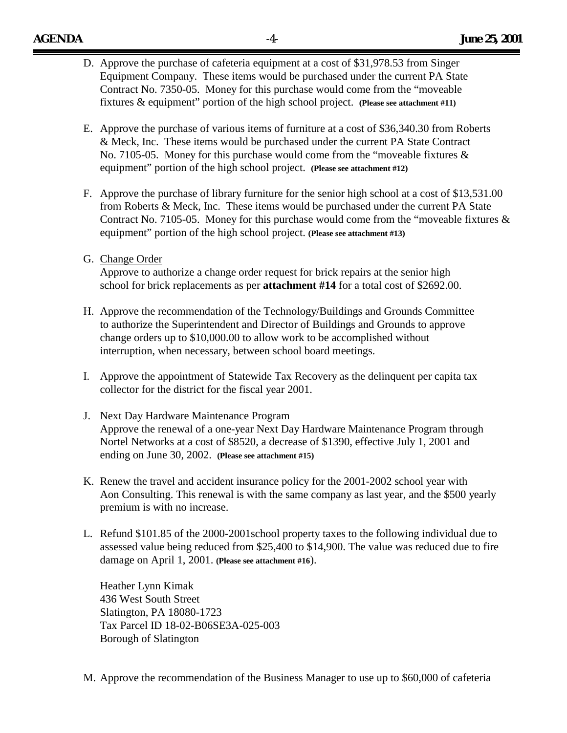- D. Approve the purchase of cafeteria equipment at a cost of \$31,978.53 from Singer Equipment Company. These items would be purchased under the current PA State Contract No. 7350-05. Money for this purchase would come from the "moveable fixtures & equipment" portion of the high school project. **(Please see attachment #11)**
- E. Approve the purchase of various items of furniture at a cost of \$36,340.30 from Roberts & Meck, Inc. These items would be purchased under the current PA State Contract No. 7105-05. Money for this purchase would come from the "moveable fixtures & equipment" portion of the high school project. **(Please see attachment #12)**
- F. Approve the purchase of library furniture for the senior high school at a cost of \$13,531.00 from Roberts & Meck, Inc. These items would be purchased under the current PA State Contract No. 7105-05. Money for this purchase would come from the "moveable fixtures  $\&$ equipment" portion of the high school project. **(Please see attachment #13)**
- G. Change Order

Approve to authorize a change order request for brick repairs at the senior high school for brick replacements as per **attachment #14** for a total cost of \$2692.00.

- H. Approve the recommendation of the Technology/Buildings and Grounds Committee to authorize the Superintendent and Director of Buildings and Grounds to approve change orders up to \$10,000.00 to allow work to be accomplished without interruption, when necessary, between school board meetings.
- I. Approve the appointment of Statewide Tax Recovery as the delinquent per capita tax collector for the district for the fiscal year 2001.
- J. Next Day Hardware Maintenance Program Approve the renewal of a one-year Next Day Hardware Maintenance Program through Nortel Networks at a cost of \$8520, a decrease of \$1390, effective July 1, 2001 and ending on June 30, 2002. **(Please see attachment #15)**
- K. Renew the travel and accident insurance policy for the 2001-2002 school year with Aon Consulting. This renewal is with the same company as last year, and the \$500 yearly premium is with no increase.
- L. Refund \$101.85 of the 2000-2001school property taxes to the following individual due to assessed value being reduced from \$25,400 to \$14,900. The value was reduced due to fire damage on April 1, 2001. **(Please see attachment #16**).

Heather Lynn Kimak 436 West South Street Slatington, PA 18080-1723 Tax Parcel ID 18-02-B06SE3A-025-003 Borough of Slatington

M. Approve the recommendation of the Business Manager to use up to \$60,000 of cafeteria